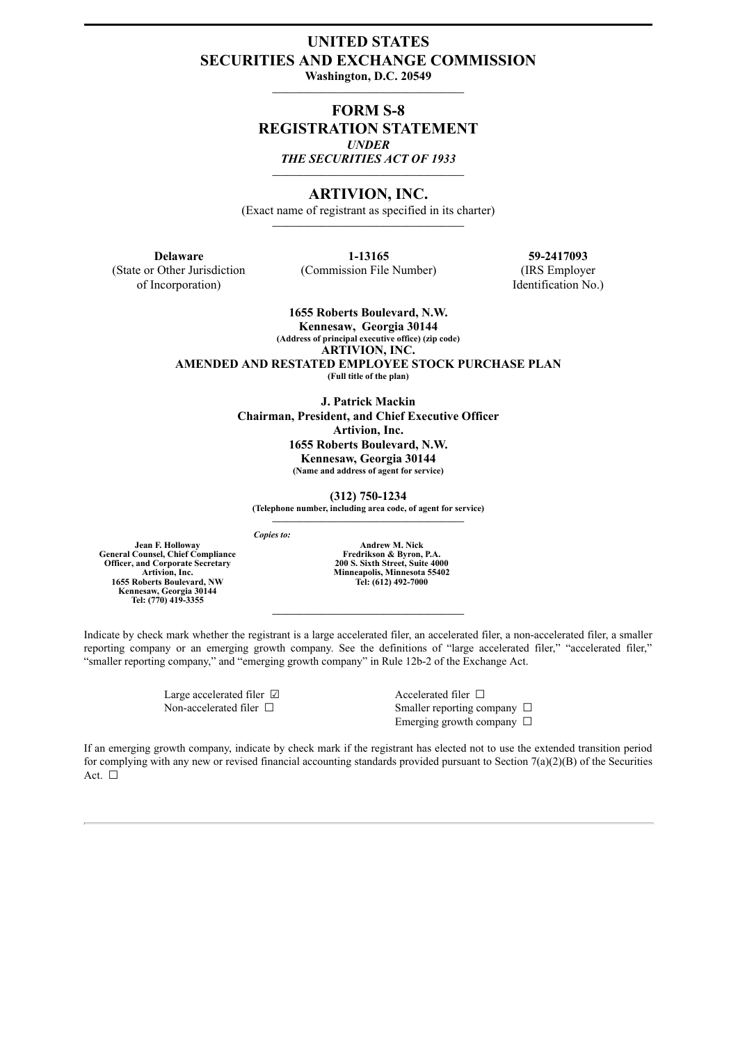# **UNITED STATES SECURITIES AND EXCHANGE COMMISSION**

**Washington, D.C. 20549**  $\mathcal{L} = \{ \mathcal{L} \}$ 

# **FORM S-8 REGISTRATION STATEMENT** *UNDER THE SECURITIES ACT OF 1933* **\_\_\_\_\_\_\_\_\_\_\_\_\_\_\_\_\_\_\_\_\_\_\_\_\_\_\_\_\_\_\_\_\_\_\_\_\_\_\_\_\_\_\_**

#### **ARTIVION, INC.**

(Exact name of registrant as specified in its charter)

(State or Other Jurisdiction of Incorporation)

(Commission File Number) (IRS Employer

**Delaware 1-13165 59-2417093**

**1655 Roberts Boulevard, N.W.**

**Kennesaw, Georgia 30144 (Address of principal executive office) (zip code) ARTIVION, INC. AMENDED AND RESTATED EMPLOYEE STOCK PURCHASE PLAN (Full title of the plan)**

**J. Patrick Mackin Chairman, President, and Chief Executive Officer Artivion, Inc. 1655 Roberts Boulevard, N.W. Kennesaw, Georgia 30144 (Name and address of agent for service)**

**(312) 750-1234 (Telephone number, including area code, of agent for service) \_\_\_\_\_\_\_\_\_\_\_\_\_\_\_\_\_\_\_\_\_\_\_\_\_\_\_\_\_\_\_\_\_\_\_\_\_\_\_\_\_\_\_**

*Copies to:*

**Jean F. Holloway General Counsel, Chief Compliance Officer, and Corporate Secretary Artivion, Inc. 1655 Roberts Boulevard, NW Kennesaw, Georgia 30144 Tel: (770) 419-3355**

**Andrew M. Nick Fredrikson & Byron, P.A. 200 S. Sixth Street, Suite 4000 Minneapolis, Minnesota 55402 Tel: (612) 492-7000**

Indicate by check mark whether the registrant is a large accelerated filer, an accelerated filer, a non-accelerated filer, a smaller reporting company or an emerging growth company. See the definitions of "large accelerated filer," "accelerated filer," "smaller reporting company," and "emerging growth company" in Rule 12b-2 of the Exchange Act.

 $\mathcal{L} = \{ \mathcal{L} \}$ 

Large accelerated filer ☑ Accelerated filer □

Non-accelerated filer □ Smaller reporting company □ Emerging growth company  $\Box$ 

If an emerging growth company, indicate by check mark if the registrant has elected not to use the extended transition period for complying with any new or revised financial accounting standards provided pursuant to Section  $7(a)(2)(B)$  of the Securities Act. □

Identification No.)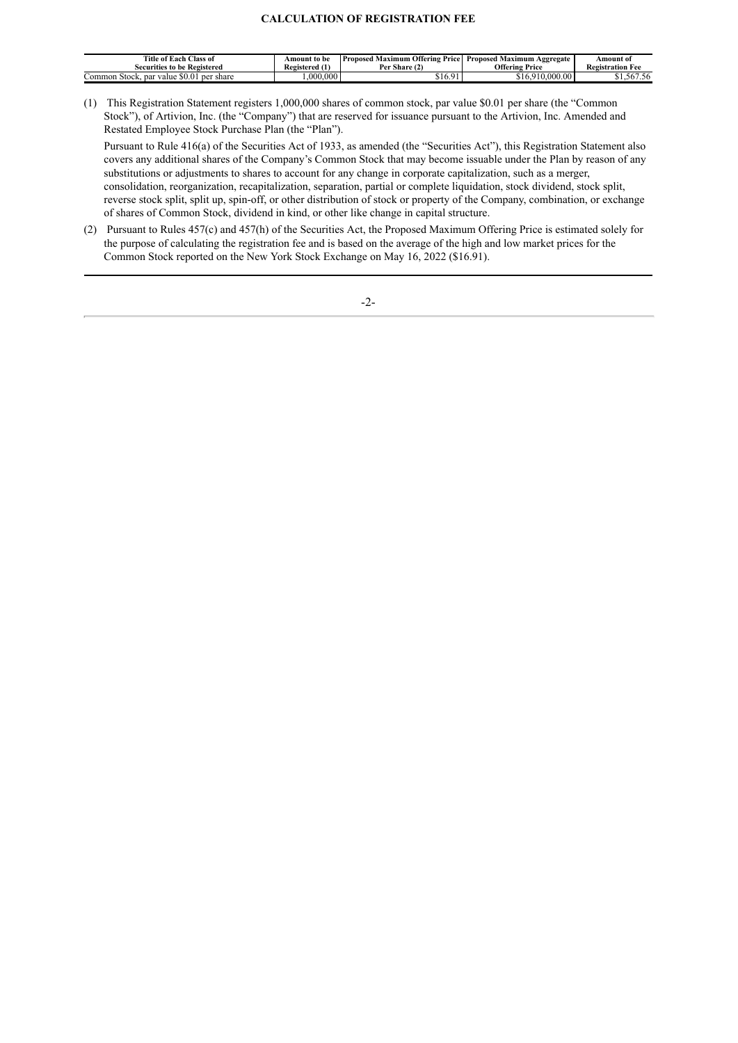# **CALCULATION OF REGISTRATION FEE**

| Title of Each Class of<br><b>Securities to be Registered</b> | Amount to be<br>- 140<br>Registered (1) | ' Maximum Offering i<br>Proposed<br><b>Price</b> I<br>Per Share (2) | Proposed Maximum Aggregate<br>Offering<br>Price | Amount of<br><b>Registration Fee</b> |
|--------------------------------------------------------------|-----------------------------------------|---------------------------------------------------------------------|-------------------------------------------------|--------------------------------------|
| ∪ommon Stock. ∵<br>per<br>' share<br>par<br>value            | .000.000                                | 910.7                                                               | .00000<br>Q <sub>1</sub>                        | \$1,567.56                           |

(1) This Registration Statement registers 1,000,000 shares of common stock, par value \$0.01 per share (the "Common Stock"), of Artivion, Inc. (the "Company") that are reserved for issuance pursuant to the Artivion, Inc. Amended and Restated Employee Stock Purchase Plan (the "Plan").

Pursuant to Rule 416(a) of the Securities Act of 1933, as amended (the "Securities Act"), this Registration Statement also covers any additional shares of the Company's Common Stock that may become issuable under the Plan by reason of any substitutions or adjustments to shares to account for any change in corporate capitalization, such as a merger, consolidation, reorganization, recapitalization, separation, partial or complete liquidation, stock dividend, stock split, reverse stock split, split up, spin-off, or other distribution of stock or property of the Company, combination, or exchange of shares of Common Stock, dividend in kind, or other like change in capital structure.

(2) Pursuant to Rules 457(c) and 457(h) of the Securities Act, the Proposed Maximum Offering Price is estimated solely for the purpose of calculating the registration fee and is based on the average of the high and low market prices for the Common Stock reported on the New York Stock Exchange on May 16, 2022 (\$16.91).

-2-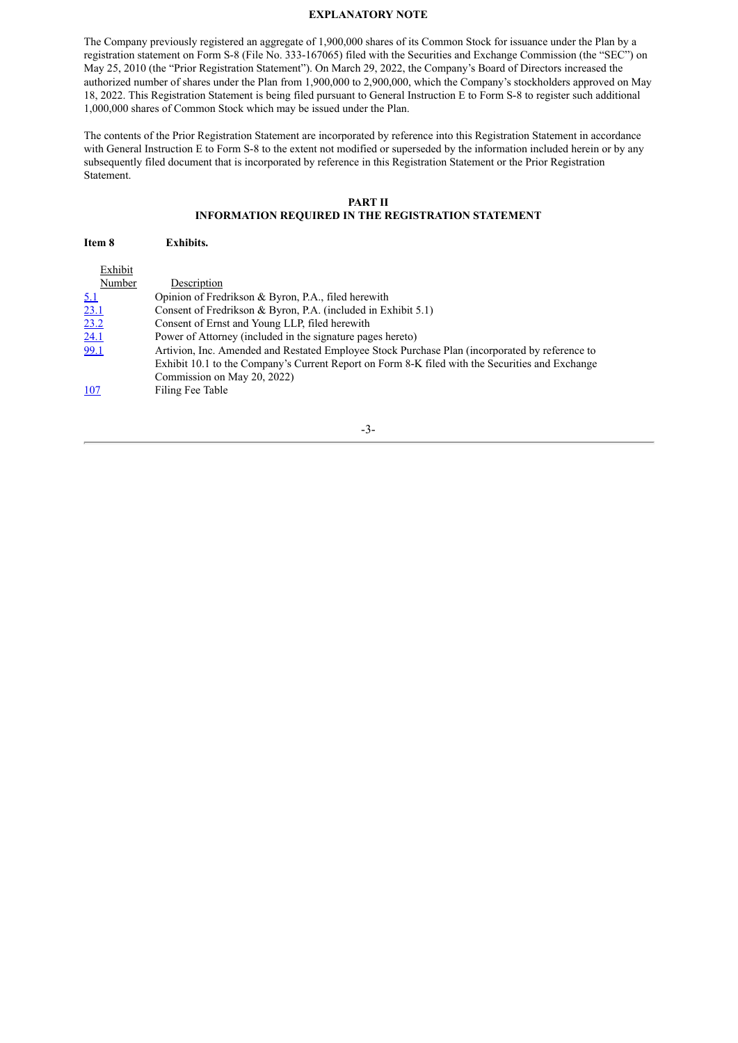#### **EXPLANATORY NOTE**

The Company previously registered an aggregate of 1,900,000 shares of its Common Stock for issuance under the Plan by a registration statement on Form S-8 (File No. 333-167065) filed with the Securities and Exchange Commission (the "SEC") on May 25, 2010 (the "Prior Registration Statement"). On March 29, 2022, the Company's Board of Directors increased the authorized number of shares under the Plan from 1,900,000 to 2,900,000, which the Company's stockholders approved on May 18, 2022. This Registration Statement is being filed pursuant to General Instruction E to Form S-8 to register such additional 1,000,000 shares of Common Stock which may be issued under the Plan.

The contents of the Prior Registration Statement are incorporated by reference into this Registration Statement in accordance with General Instruction E to Form S-8 to the extent not modified or superseded by the information included herein or by any subsequently filed document that is incorporated by reference in this Registration Statement or the Prior Registration Statement.

# **PART II**

# **INFORMATION REQUIRED IN THE REGISTRATION STATEMENT**

| Item 8      | <b>Exhibits.</b>                                                                                                                                                                                  |
|-------------|---------------------------------------------------------------------------------------------------------------------------------------------------------------------------------------------------|
| Exhibit     |                                                                                                                                                                                                   |
| Number      | Description                                                                                                                                                                                       |
| <u>5.1</u>  | Opinion of Fredrikson & Byron, P.A., filed herewith                                                                                                                                               |
| <u>23.1</u> | Consent of Fredrikson & Byron, P.A. (included in Exhibit $5.1$ )                                                                                                                                  |
| 23.2        | Consent of Ernst and Young LLP, filed herewith                                                                                                                                                    |
| 24.1        | Power of Attorney (included in the signature pages hereto)                                                                                                                                        |
| 99.1        | Artivion, Inc. Amended and Restated Employee Stock Purchase Plan (incorporated by reference to<br>Exhibit 10.1 to the Company's Current Report on Form 8-K filed with the Securities and Exchange |
|             | Commission on May 20, 2022)                                                                                                                                                                       |
| 107         | Filing Fee Table                                                                                                                                                                                  |

-3-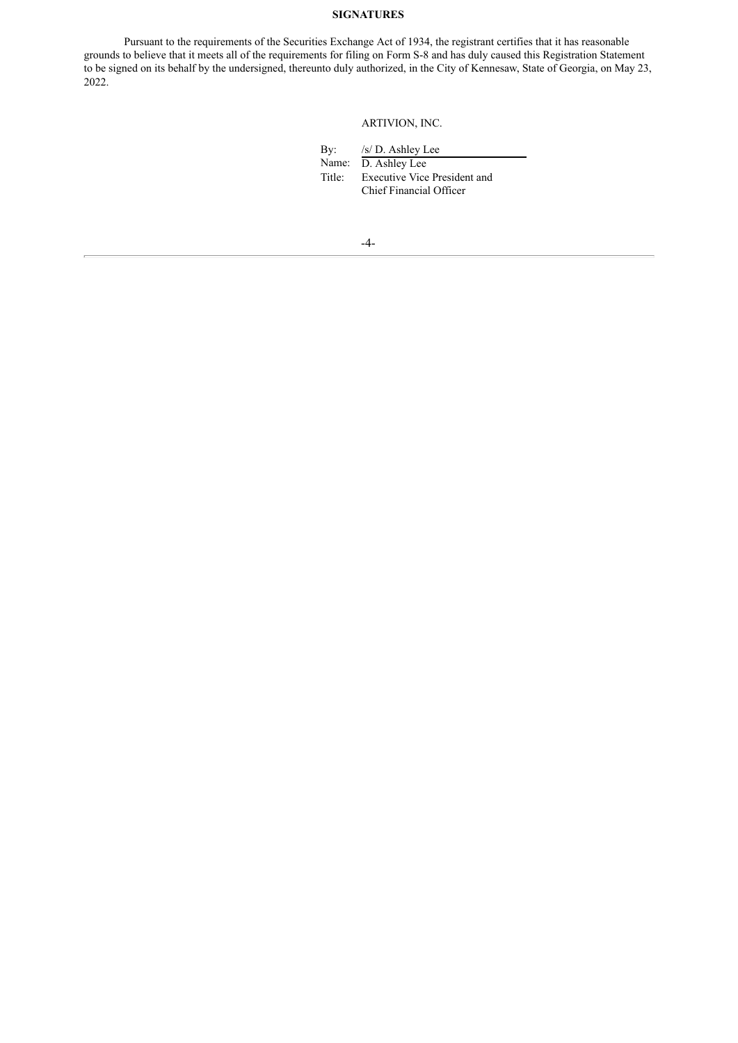# **SIGNATURES**

Pursuant to the requirements of the Securities Exchange Act of 1934, the registrant certifies that it has reasonable grounds to believe that it meets all of the requirements for filing on Form S-8 and has duly caused this Registration Statement to be signed on its behalf by the undersigned, thereunto duly authorized, in the City of Kennesaw, State of Georgia, on May 23, 2022.

ARTIVION, INC.

| By:    | /s/ D. Ashley Lee                   |
|--------|-------------------------------------|
| Name:  | D. Ashley Lee                       |
| Title: | <b>Executive Vice President and</b> |
|        | Chief Financial Officer             |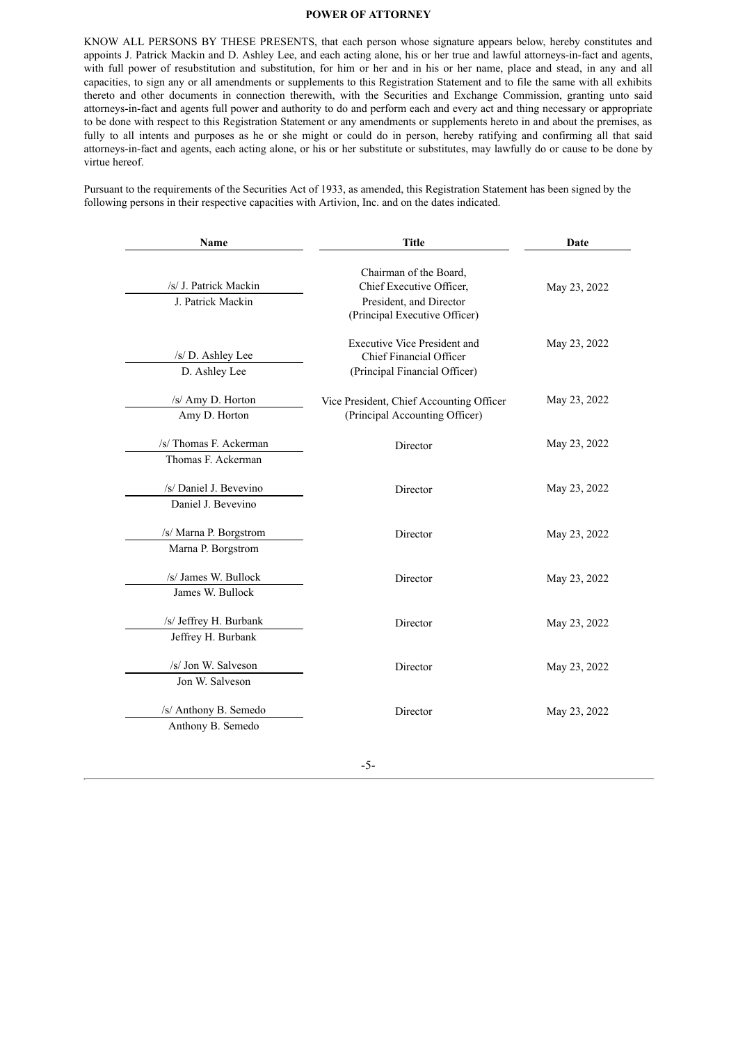#### <span id="page-4-0"></span>**POWER OF ATTORNEY**

KNOW ALL PERSONS BY THESE PRESENTS, that each person whose signature appears below, hereby constitutes and appoints J. Patrick Mackin and D. Ashley Lee, and each acting alone, his or her true and lawful attorneys-in-fact and agents, with full power of resubstitution and substitution, for him or her and in his or her name, place and stead, in any and all capacities, to sign any or all amendments or supplements to this Registration Statement and to file the same with all exhibits thereto and other documents in connection therewith, with the Securities and Exchange Commission, granting unto said attorneys-in-fact and agents full power and authority to do and perform each and every act and thing necessary or appropriate to be done with respect to this Registration Statement or any amendments or supplements hereto in and about the premises, as fully to all intents and purposes as he or she might or could do in person, hereby ratifying and confirming all that said attorneys-in-fact and agents, each acting alone, or his or her substitute or substitutes, may lawfully do or cause to be done by virtue hereof.

Pursuant to the requirements of the Securities Act of 1933, as amended, this Registration Statement has been signed by the following persons in their respective capacities with Artivion, Inc. and on the dates indicated.

| Name                                         | <b>Title</b>                                                                                                   | Date         |  |  |
|----------------------------------------------|----------------------------------------------------------------------------------------------------------------|--------------|--|--|
| /s/ J. Patrick Mackin<br>J. Patrick Mackin   | Chairman of the Board,<br>Chief Executive Officer,<br>President, and Director<br>(Principal Executive Officer) | May 23, 2022 |  |  |
| /s/ D. Ashley Lee<br>D. Ashley Lee           | <b>Executive Vice President and</b><br>Chief Financial Officer<br>(Principal Financial Officer)                | May 23, 2022 |  |  |
| /s/ Amy D. Horton<br>Amy D. Horton           | Vice President, Chief Accounting Officer<br>(Principal Accounting Officer)                                     | May 23, 2022 |  |  |
| /s/ Thomas F. Ackerman<br>Thomas F. Ackerman | Director                                                                                                       | May 23, 2022 |  |  |
| /s/ Daniel J. Bevevino<br>Daniel J. Bevevino | Director                                                                                                       | May 23, 2022 |  |  |
| /s/ Marna P. Borgstrom<br>Marna P. Borgstrom | Director                                                                                                       | May 23, 2022 |  |  |
| /s/ James W. Bullock<br>James W. Bullock     | Director                                                                                                       | May 23, 2022 |  |  |
| /s/ Jeffrey H. Burbank<br>Jeffrey H. Burbank | Director                                                                                                       | May 23, 2022 |  |  |
| /s/ Jon W. Salveson<br>Jon W. Salveson       | Director                                                                                                       | May 23, 2022 |  |  |
| /s/ Anthony B. Semedo<br>Anthony B. Semedo   | Director                                                                                                       | May 23, 2022 |  |  |

-5-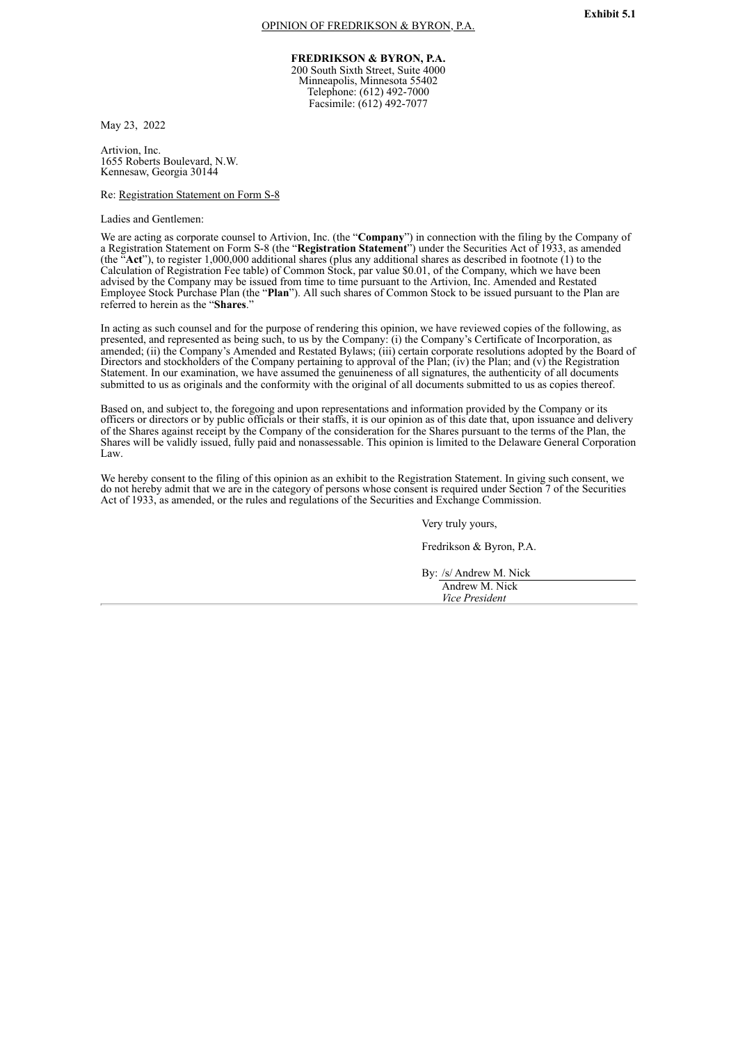**FREDRIKSON & BYRON, P.A.**

200 South Sixth Street, Suite 4000 Minneapolis, Minnesota 55402 Telephone: (612) 492-7000 Facsimile: (612) 492-7077

<span id="page-5-0"></span>May 23, 2022

Artivion, Inc. 1655 Roberts Boulevard, N.W. Kennesaw, Georgia 30144

Re: Registration Statement on Form S-8

Ladies and Gentlemen:

We are acting as corporate counsel to Artivion, Inc. (the "**Company**") in connection with the filing by the Company of a Registration Statement on Form S-8 (the "**Registration Statement**") under the Securities Act of 1933, as amended (the "**Act**"), to register 1,000,000 additional shares (plus any additional shares as described in footnote (1) to the Calculation of Registration Fee table) of Common Stock, par value \$0.01, of the Company, which we have been advised by the Company may be issued from time to time pursuant to the Artivion, Inc. Amended and Restated Employee Stock Purchase Plan (the "**Plan**"). All such shares of Common Stock to be issued pursuant to the Plan are referred to herein as the "**Shares**."

In acting as such counsel and for the purpose of rendering this opinion, we have reviewed copies of the following, as presented, and represented as being such, to us by the Company: (i) the Company's Certificate of Incorporation, as amended; (ii) the Company's Amended and Restated Bylaws; (iii) certain corporate resolutions adopted by the Board of Directors and stockholders of the Company pertaining to approval of the Plan; (iv) the Plan; and (v) the Registration Statement. In our examination, we have assumed the genuineness of all signatures, the authenticity of all documents submitted to us as originals and the conformity with the original of all documents submitted to us as copies thereof.

Based on, and subject to, the foregoing and upon representations and information provided by the Company or its officers or directors or by public officials or their staffs, it is our opinion as of this date that, upon issuance and delivery of the Shares against receipt by the Company of the consideration for the Shares pursuant to the terms of the Plan, the Shares will be validly issued, fully paid and nonassessable. This opinion is limited to the Delaware General Corporation Law.

We hereby consent to the filing of this opinion as an exhibit to the Registration Statement. In giving such consent, we do not hereby admit that we are in the category of persons whose consent is required under Section 7 of the Securities Act of 1933, as amended, or the rules and regulations of the Securities and Exchange Commission.

Very truly yours,

Fredrikson & Byron, P.A.

By: /s/ Andrew M. Nick Andrew M. Nick *Vice President*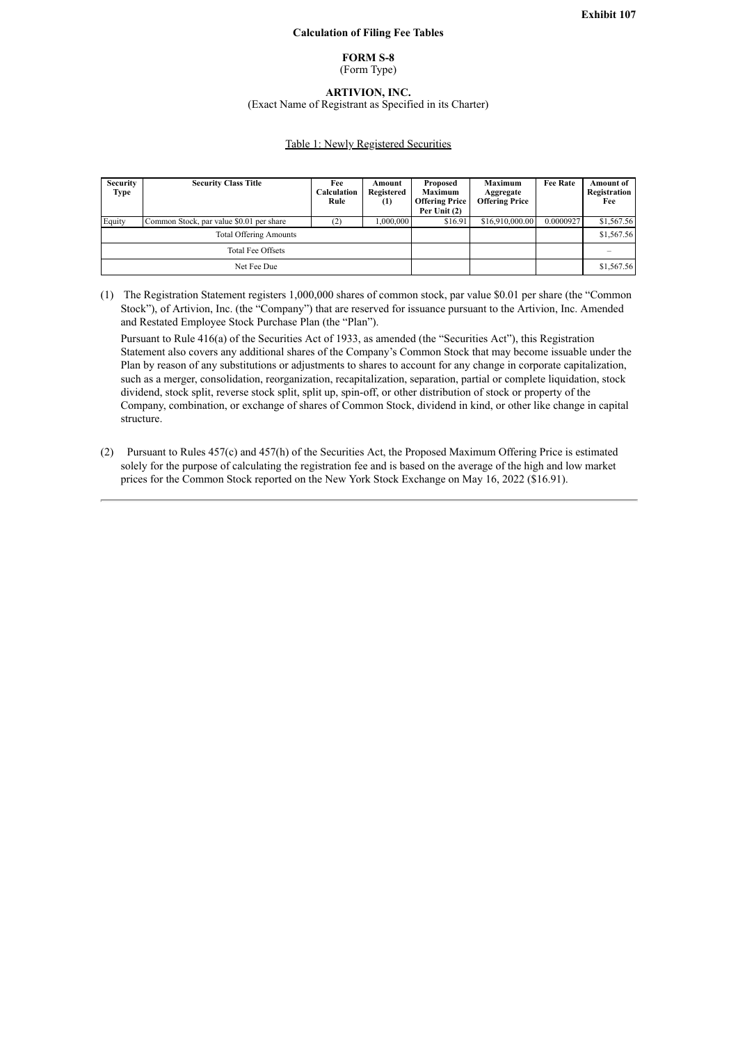#### **Calculation of Filing Fee Tables**

#### **FORM S-8**

(Form Type)

**ARTIVION, INC.**

(Exact Name of Registrant as Specified in its Charter)

#### Table 1: Newly Registered Securities

<span id="page-6-0"></span>

| <b>Security</b><br>Type       | <b>Security Class Title</b>              | Fee<br>Calculation<br>Rule | Amount<br>Registered<br>(1) | Proposed<br><b>Maximum</b><br><b>Offering Price</b><br>Per Unit $(2)$ | Maximum<br>Aggregate<br><b>Offering Price</b> | <b>Fee Rate</b> | Amount of<br>Registration<br>Fee |
|-------------------------------|------------------------------------------|----------------------------|-----------------------------|-----------------------------------------------------------------------|-----------------------------------------------|-----------------|----------------------------------|
| Equity                        | Common Stock, par value \$0.01 per share | [2]                        | 1.000.000                   | \$16.91                                                               | \$16,910,000.00                               | 0.0000927       | \$1,567.56                       |
| <b>Total Offering Amounts</b> |                                          |                            |                             |                                                                       |                                               | \$1,567.56      |                                  |
| <b>Total Fee Offsets</b>      |                                          |                            |                             |                                                                       |                                               |                 |                                  |
| Net Fee Due                   |                                          |                            |                             |                                                                       |                                               | \$1,567.56      |                                  |

(1) The Registration Statement registers 1,000,000 shares of common stock, par value \$0.01 per share (the "Common Stock"), of Artivion, Inc. (the "Company") that are reserved for issuance pursuant to the Artivion, Inc. Amended and Restated Employee Stock Purchase Plan (the "Plan").

Pursuant to Rule 416(a) of the Securities Act of 1933, as amended (the "Securities Act"), this Registration Statement also covers any additional shares of the Company's Common Stock that may become issuable under the Plan by reason of any substitutions or adjustments to shares to account for any change in corporate capitalization, such as a merger, consolidation, reorganization, recapitalization, separation, partial or complete liquidation, stock dividend, stock split, reverse stock split, split up, spin-off, or other distribution of stock or property of the Company, combination, or exchange of shares of Common Stock, dividend in kind, or other like change in capital structure.

(2) Pursuant to Rules 457(c) and 457(h) of the Securities Act, the Proposed Maximum Offering Price is estimated solely for the purpose of calculating the registration fee and is based on the average of the high and low market prices for the Common Stock reported on the New York Stock Exchange on May 16, 2022 (\$16.91).